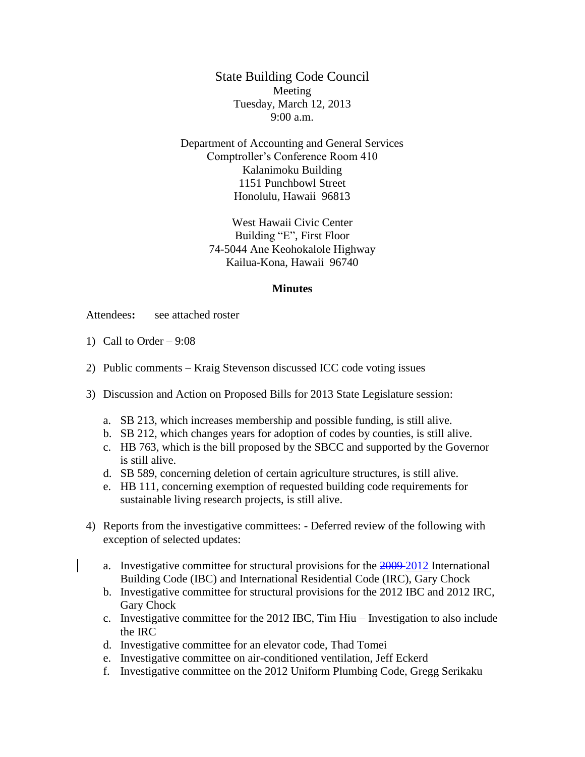State Building Code Council Meeting Tuesday, March 12, 2013 9:00 a.m.

Department of Accounting and General Services Comptroller's Conference Room 410 Kalanimoku Building 1151 Punchbowl Street Honolulu, Hawaii 96813

> West Hawaii Civic Center Building "E", First Floor 74-5044 Ane Keohokalole Highway Kailua-Kona, Hawaii 96740

## **Minutes**

Attendees**:** see attached roster

- 1) Call to Order  $-9:08$
- 2) Public comments Kraig Stevenson discussed ICC code voting issues
- 3) Discussion and Action on Proposed Bills for 2013 State Legislature session:
	- a. SB 213, which increases membership and possible funding, is still alive.
	- b. SB 212, which changes years for adoption of codes by counties, is still alive.
	- c. HB 763, which is the bill proposed by the SBCC and supported by the Governor is still alive.
	- d. SB 589, concerning deletion of certain agriculture structures, is still alive.
	- e. HB 111, concerning exemption of requested building code requirements for sustainable living research projects, is still alive.
- 4) Reports from the investigative committees: Deferred review of the following with exception of selected updates:
	- a. Investigative committee for structural provisions for the 2009 2012 International Building Code (IBC) and International Residential Code (IRC), Gary Chock
	- b. Investigative committee for structural provisions for the 2012 IBC and 2012 IRC, Gary Chock
	- c. Investigative committee for the 2012 IBC, Tim Hiu Investigation to also include the IRC
	- d. Investigative committee for an elevator code, Thad Tomei
	- e. Investigative committee on air-conditioned ventilation, Jeff Eckerd
	- f. Investigative committee on the 2012 Uniform Plumbing Code, Gregg Serikaku